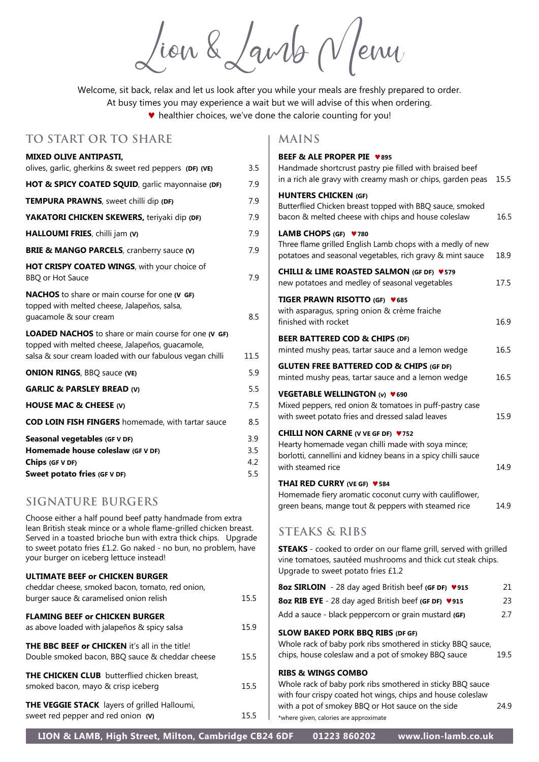Lion &Lamb Menu

Welcome, sit back, relax and let us look after you while your meals are freshly prepared to order. At busy times you may experience a wait but we will advise of this when ordering.

♥ healthier choices, we've done the calorie counting for you!

## **to start or to share**

### **mIXED olive ANTIPASTi,**

| olives, garlic, gherkins & sweet red peppers (DF) (VE)                                                                                                                      | 3.5                      |
|-----------------------------------------------------------------------------------------------------------------------------------------------------------------------------|--------------------------|
| HOT & SPICY COATED SQUID, garlic mayonnaise (DF)                                                                                                                            | 7.9                      |
| <b>TEMPURA PRAWNS, sweet chilli dip (DF)</b>                                                                                                                                | 7.9                      |
| YAKATORI CHICKEN SKEWERS, teriyaki dip (DF)                                                                                                                                 | 7.9                      |
| HALLOUMI FRIES, chilli jam (V)                                                                                                                                              | 7.9                      |
| <b>BRIE &amp; MANGO PARCELS, cranberry sauce (V)</b>                                                                                                                        | 7.9                      |
| <b>HOT CRISPY COATED WINGS, with your choice of</b><br><b>BBQ or Hot Sauce</b>                                                                                              | 7.9                      |
| <b>NACHOS</b> to share or main course for one (V GF)<br>topped with melted cheese, Jalapeños, salsa,<br>quacamole & sour cream                                              | 8.5                      |
| <b>LOADED NACHOS</b> to share or main course for one (V GF)<br>topped with melted cheese, Jalapeños, guacamole,<br>salsa & sour cream loaded with our fabulous vegan chilli | 11.5                     |
| <b>ONION RINGS, BBQ sauce (VE)</b>                                                                                                                                          | 5.9                      |
| <b>GARLIC &amp; PARSLEY BREAD (V)</b>                                                                                                                                       | 5.5                      |
| <b>HOUSE MAC &amp; CHEESE (V)</b>                                                                                                                                           | 7.5                      |
| <b>COD LOIN FISH FINGERS</b> homemade, with tartar sauce                                                                                                                    | 8.5                      |
| Seasonal vegetables (GF V DF)<br>Homemade house coleslaw (GF V DF)<br>Chips (GF V DF)<br>Sweet potato fries (GF V DF)                                                       | 3.9<br>3.5<br>4.2<br>5.5 |

### **Signature Burgers**

Choose either a half pound beef patty handmade from extra lean British steak mince or a whole flame-grilled chicken breast. Served in a toasted brioche bun with extra thick chips. Upgrade to sweet potato fries £1.2. Go naked - no bun, no problem, have your burger on iceberg lettuce instead!

#### **ULTIMATE BEEF or CHICKEN BURGER**

| cheddar cheese, smoked bacon, tomato, red onion,<br>burger sauce & caramelised onion relish              | 15.5 |
|----------------------------------------------------------------------------------------------------------|------|
| <b>FLAMING BEEF or CHICKEN BURGER</b><br>as above loaded with jalapeños & spicy salsa                    | 15.9 |
| <b>THE BBC BEEF or CHICKEN</b> it's all in the title!<br>Double smoked bacon, BBQ sauce & cheddar cheese | 15.5 |
| <b>THE CHICKEN CLUB</b> butterflied chicken breast,<br>smoked bacon, mayo & crisp iceberg                | 15.5 |
| THE VEGGIE STACK layers of grilled Halloumi,<br>sweet red pepper and red onion $(v)$                     | 15.5 |

### **MAINS**

| BEEF & ALE PROPER PIE V895                                                                                                                                                            |      |
|---------------------------------------------------------------------------------------------------------------------------------------------------------------------------------------|------|
| Handmade shortcrust pastry pie filled with braised beef                                                                                                                               |      |
| in a rich ale gravy with creamy mash or chips, garden peas                                                                                                                            | 15.5 |
| <b>HUNTERS CHICKEN (GF)</b><br>Butterflied Chicken breast topped with BBQ sauce, smoked<br>bacon & melted cheese with chips and house coleslaw                                        | 16.5 |
| LAMB CHOPS (GF) 780<br>Three flame grilled English Lamb chops with a medly of new<br>potatoes and seasonal vegetables, rich gravy & mint sauce                                        | 18.9 |
| CHILLI & LIME ROASTED SALMON (GF DF) ♥579<br>new potatoes and medley of seasonal vegetables                                                                                           | 17.5 |
| TIGER PRAWN RISOTTO (GF) V685<br>with asparagus, spring onion & crème fraiche<br>finished with rocket                                                                                 | 16.9 |
| BEER BATTERED COD & CHIPS (DF)<br>minted mushy peas, tartar sauce and a lemon wedge                                                                                                   | 16.5 |
| <b>GLUTEN FREE BATTERED COD &amp; CHIPS (GF DF)</b><br>minted mushy peas, tartar sauce and a lemon wedge                                                                              | 16.5 |
| VEGETABLE WELLINGTON (v) V690<br>Mixed peppers, red onion & tomatoes in puff-pastry case<br>with sweet potato fries and dressed salad leaves                                          | 15.9 |
| <b>CHILLI NON CARNE (V VE GF DF) ♥752</b><br>Hearty homemade vegan chilli made with soya mince;<br>borlotti, cannellini and kidney beans in a spicy chilli sauce<br>with steamed rice | 14.9 |
| THAI RED CURRY (VE GF) V 584                                                                                                                                                          |      |
| Homemade fiery aromatic coconut curry with cauliflower,<br>green beans, mange tout & peppers with steamed rice                                                                        | 14.9 |
| <b>STEAKS &amp; RIBS</b>                                                                                                                                                              |      |
| STEAKS - cooked to order on our flame grill, served with grilled<br>vine tomatoes, sautéed mushrooms and thick cut steak chips.<br>Upgrade to sweet potato fries £1.2                 |      |
| 8oz SIRLOIN - 28 day aged British beef (GF DF) V915                                                                                                                                   | 21   |
| 8oz RIB EYE - 28 day aged British beef (GF DF) #915                                                                                                                                   | 23   |
| Add a sauce - black peppercorn or grain mustard (GF)                                                                                                                                  | 2.7  |
| SLOW BAKED PORK BBQ RIBS (DF GF)<br>Whole rack of baby pork ribs smothered in sticky BBQ sauce,<br>chips, house coleslaw and a pot of smokey BBQ sauce                                | 19.5 |

#### **RIBS & WINGS COMBO**

Whole rack of baby pork ribs smothered in sticky BBQ sauce with four crispy coated hot wings, chips and house coleslaw with a pot of smokey BBQ or Hot sauce on the side 24.9 \*where given, calories are approximate

**LION & LAMB, High Street, Milton, Cambridge CB24 6DF 01223 860202 www.lion-lamb.co.uk**